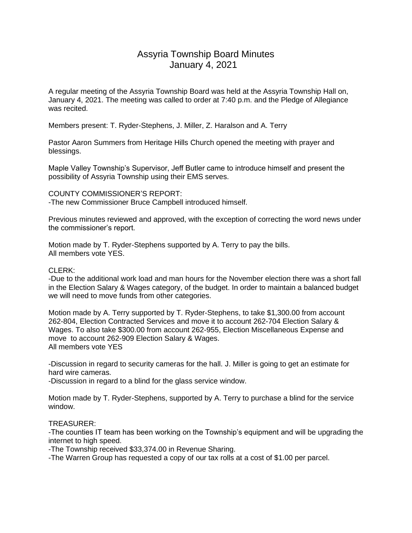## Assyria Township Board Minutes January 4, 2021

A regular meeting of the Assyria Township Board was held at the Assyria Township Hall on, January 4, 2021. The meeting was called to order at 7:40 p.m. and the Pledge of Allegiance was recited.

Members present: T. Ryder-Stephens, J. Miller, Z. Haralson and A. Terry

Pastor Aaron Summers from Heritage Hills Church opened the meeting with prayer and blessings.

Maple Valley Township's Supervisor, Jeff Butler came to introduce himself and present the possibility of Assyria Township using their EMS serves.

COUNTY COMMISSIONER'S REPORT: -The new Commissioner Bruce Campbell introduced himself.

Previous minutes reviewed and approved, with the exception of correcting the word news under the commissioner's report.

Motion made by T. Ryder-Stephens supported by A. Terry to pay the bills. All members vote YES.

## CLERK:

-Due to the additional work load and man hours for the November election there was a short fall in the Election Salary & Wages category, of the budget. In order to maintain a balanced budget we will need to move funds from other categories.

Motion made by A. Terry supported by T. Ryder-Stephens, to take \$1,300.00 from account 262-804, Election Contracted Services and move it to account 262-704 Election Salary & Wages. To also take \$300.00 from account 262-955, Election Miscellaneous Expense and move to account 262-909 Election Salary & Wages. All members vote YES

-Discussion in regard to security cameras for the hall. J. Miller is going to get an estimate for hard wire cameras.

-Discussion in regard to a blind for the glass service window.

Motion made by T. Ryder-Stephens, supported by A. Terry to purchase a blind for the service window.

## TREASURER:

-The counties IT team has been working on the Township's equipment and will be upgrading the internet to high speed.

-The Township received \$33,374.00 in Revenue Sharing.

-The Warren Group has requested a copy of our tax rolls at a cost of \$1.00 per parcel.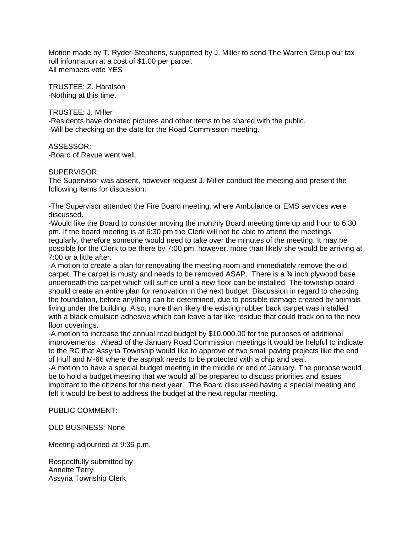Motion made by T. Ryder-Stephens, supported by J. Miller to send The Warren Group our tax roll information at a cost of \$1.00 per parcel. All members vote YES

TRUSTEE: Z. Haralson -Nothing at this time.

TRUSTEE: J. Miller -Residents have donated pictures and other items to be shared with the public. -Will be checking on the date for the Road Commission meeting.

ASSESSOR: -Board of Revue went well.

## SUPERVISOR:

The Supervisor was absent, however request J. Miller conduct the meeting and present the following items for discussion:

-The Supervisor attended the Fire Board meeting, where Ambulance or EMS services were discussed.

-Would like the Board to consider moving the monthly Board meeting time up and hour to 6:30 pm. If the board meeting is at 6:30 pm the Clerk will not be able to attend the meetings regularly, therefore someone would need to take over the minutes of the meeting. It may be possible for the Clerk to be there by 7:00 pm, however, more than likely she would be arriving at 7:00 or a little after.

-A motion to create a plan for renovating the meeting room and immediately remove the old carpet. The carpet is musty and needs to be removed ASAP. There is a ¾ inch plywood base underneath the carpet which will suffice until a new floor can be installed. The township board should create an entire plan for renovation in the next budget. Discussion in regard to checking the foundation, before anything can be determined, due to possible damage created by animals living under the building. Also, more than likely the existing rubber back carpet was installed with a black emulsion adhesive which can leave a tar like residue that could track on to the new floor coverings.

-A motion to increase the annual road budget by \$10,000.00 for the purposes of additional improvements. Ahead of the January Road Commission meetings it would be helpful to indicate to the RC that Assyria Township would like to approve of two small paving projects like the end of Huff and M-66 where the asphalt needs to be protected with a chip and seal.

-A motion to have a special budget meeting in the middle or end of January. The purpose would be to hold a budget meeting that we would all be prepared to discuss priorities and issues important to the citizens for the next year. The Board discussed having a special meeting and felt it would be best to address the budget at the next regular meeting.

PUBLIC COMMENT:

OLD BUSINESS: None

Meeting adjourned at 9:36 p.m.

Respectfully submitted by Annette Terry Assyria Township Clerk